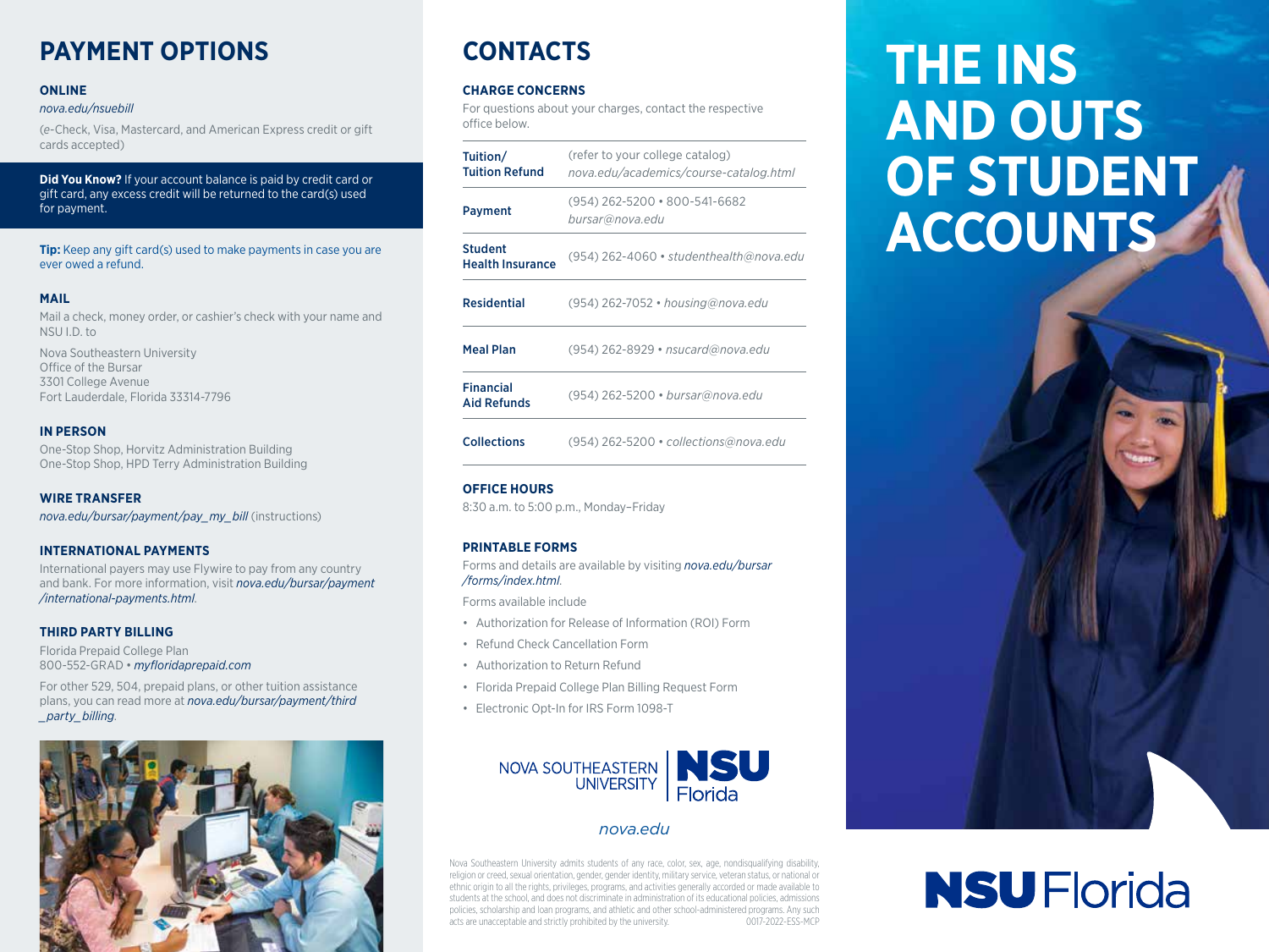# **PAYMENT OPTIONS**

### **ONLINE**

#### *[nova.edu/nsuebill](http://nova.edu/nsuebill)*

(*e*-Check, Visa, Mastercard, and American Express credit or gift cards accepted)

**Did You Know?** If your account balance is paid by credit card or gift card, any excess credit will be returned to the card(s) used for payment.

**Tip:** Keep any gift card(s) used to make payments in case you are ever owed a refund.

### **MAIL**

Mail a check, money order, or cashier's check with your name and NSU I.D. to

Nova Southeastern University Office of the Bursar 3301 College Avenue Fort Lauderdale, Florida 33314-7796

### **IN PERSON**

One-Stop Shop, Horvitz Administration Building One-Stop Shop, HPD Terry Administration Building

# **WIRE TRANSFER**

*[nova.edu/bursar/payment/pay\\_my\\_bill](http://nova.edu/bursar/payment/pay_my_bill)* (instructions)

### **INTERNATIONAL PAYMENTS**

International payers may use Flywire to pay from any country and bank. For more information, visit *[nova.edu/bursar/payment](https://www.nova.edu/bursar//payment/international-payments.html) [/international-payments.html](https://www.nova.edu/bursar//payment/international-payments.html)*.

### **THIRD PARTY BILLING**

Florida Prepaid College Plan 800-552-GRAD • *[myfloridaprepaid.com](http://myfloridaprepaid.com)*

For other 529, 504, prepaid plans, or other tuition assistance plans, you can read more at *[nova.edu/bursar/payment/third](http://nova.edu/bursar/payment/third_party_billing) [\\_party\\_billing](http://nova.edu/bursar/payment/third_party_billing)*.



# **CONTACTS**

### **CHARGE CONCERNS**

For questions about your charges, contact the respective office below.

| Tuition/<br><b>Tuition Refund</b>         | (refer to your college catalog)<br>nova.edu/academics/course-catalog.html |
|-------------------------------------------|---------------------------------------------------------------------------|
| Payment                                   | (954) 262-5200 • 800-541-6682<br>bursar@nova.edu                          |
| <b>Student</b><br><b>Health Insurance</b> | (954) 262-4060 · studenthealth@nova.edu                                   |
| <b>Residential</b>                        | (954) 262-7052 • housing@nova.edu                                         |
| <b>Meal Plan</b>                          | (954) 262-8929 • nsucard@nova.edu                                         |
| <b>Financial</b><br><b>Aid Refunds</b>    | (954) 262-5200 · bursar@nova.edu                                          |
| <b>Collections</b>                        | (954) 262-5200 · collections@nova.edu                                     |

### **OFFICE HOURS**

8:30 a.m. to 5:00 p.m., Monday–Friday

### **PRINTABLE FORMS**

Forms and details are available by visiting *[nova.edu/bursar](http://nova.edu/bursar/forms/index.html) [/forms/index.html](http://nova.edu/bursar/forms/index.html)*.

Forms available include

- Authorization for Release of Information (ROI) Form
- Refund Check Cancellation Form
- Authorization to Return Refund
- Florida Prepaid College Plan Billing Request Form
- Electronic Opt-In for IRS Form 1098-T



# *[nova.edu](http://nova.edu)*

Nova Southeastern University admits students of any race, color, sex, age, nondisqualifying disability, religion or creed, sexual orientation, gender, gender identity, military service, veteran status, or national or ethnic origin to all the rights, privileges, programs, and activities generally accorded or made available to students at the school, and does not discriminate in administration of its educational policies, admissions policies, scholarship and loan programs, and athletic and other school-administered programs. Any such acts are unacceptable and strictly prohibited by the university. 0017-2022-ESS-MCP

# **THE INS AND OUTS OF STUDENT ACCOUNTS**



# **NSU Florida**